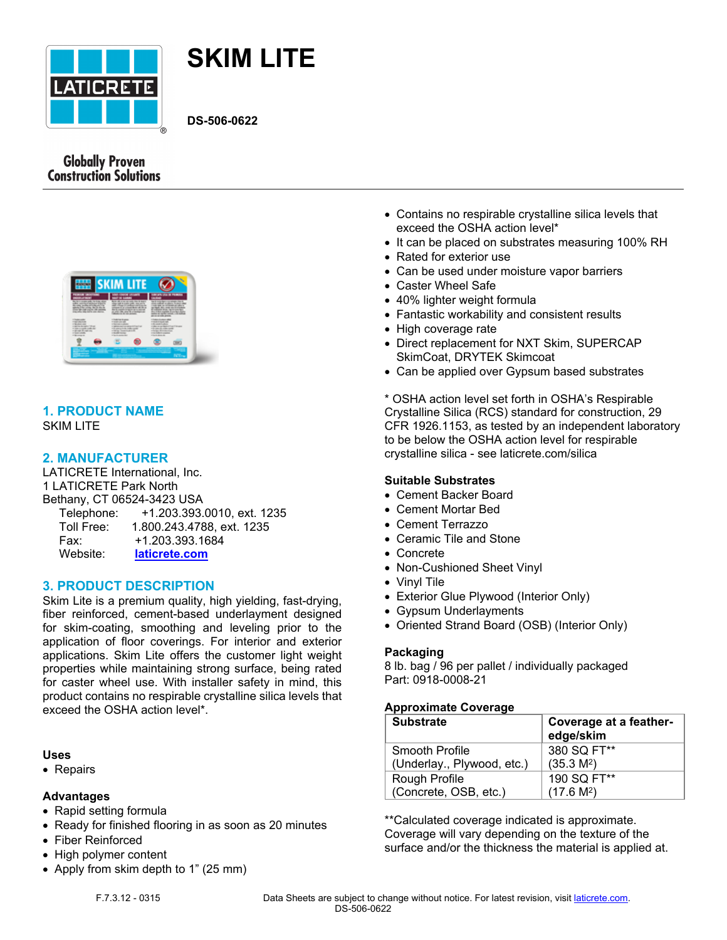



**DS-506-0622**

# **Globally Proven Construction Solutions**



### **1. PRODUCT NAME** SKIM LITE

## **2. MANUFACTURER**

LATICRETE International, Inc. 1 LATICRETE Park North Bethany, CT 06524-3423 USA Telephone: +1.203.393.0010, ext. 1235 Toll Free: 1.800.243.4788, ext. 1235 Fax: +1.203.393.1684 Website: **[laticrete.com](https://laticrete.com/)**

### **3. PRODUCT DESCRIPTION**

Skim Lite is a premium quality, high yielding, fast-drying, fiber reinforced, cement-based underlayment designed for skim-coating, smoothing and leveling prior to the application of floor coverings. For interior and exterior applications. Skim Lite offers the customer light weight properties while maintaining strong surface, being rated for caster wheel use. With installer safety in mind, this product contains no respirable crystalline silica levels that exceed the OSHA action level\*.

#### **Uses**

• Repairs

#### **Advantages**

- Rapid setting formula
- Ready for finished flooring in as soon as 20 minutes
- Fiber Reinforced
- High polymer content
- Apply from skim depth to 1" (25 mm)
- Contains no respirable crystalline silica levels that exceed the OSHA action level\*
- It can be placed on substrates measuring 100% RH
- Rated for exterior use
- Can be used under moisture vapor barriers
- Caster Wheel Safe
- 40% lighter weight formula
- Fantastic workability and consistent results
- High coverage rate
- Direct replacement for NXT Skim, SUPERCAP SkimCoat, DRYTEK Skimcoat
- Can be applied over Gypsum based substrates

\* OSHA action level set forth in OSHA's Respirable Crystalline Silica (RCS) standard for construction, 29 CFR 1926.1153, as tested by an independent laboratory to be below the OSHA action level for respirable crystalline silica - see [laticrete.com/silica](https://laticrete.com/en/innovation-and-impact/osha-silica)

#### **Suitable Substrates**

- Cement Backer Board
- Cement Mortar Bed
- Cement Terrazzo
- Ceramic Tile and Stone
- Concrete
- Non-Cushioned Sheet Vinyl
- Vinyl Tile
- Exterior Glue Plywood (Interior Only)
- Gypsum Underlayments
- Oriented Strand Board (OSB) (Interior Only)

#### **Packaging**

8 lb. bag / 96 per pallet / individually packaged Part: 0918-0008-21

#### **Approximate Coverage**

| <b>Substrate</b>           | Coverage at a feather-<br>edge/skim |
|----------------------------|-------------------------------------|
| Smooth Profile             | 380 SQ FT**                         |
| (Underlay., Plywood, etc.) | (35.3 M <sup>2</sup> )              |
| Rough Profile              | 190 SQ FT**                         |
| (Concrete, OSB, etc.)      | (17.6 M <sup>2</sup> )              |

\*\*Calculated coverage indicated is approximate. Coverage will vary depending on the texture of the surface and/or the thickness the material is applied at.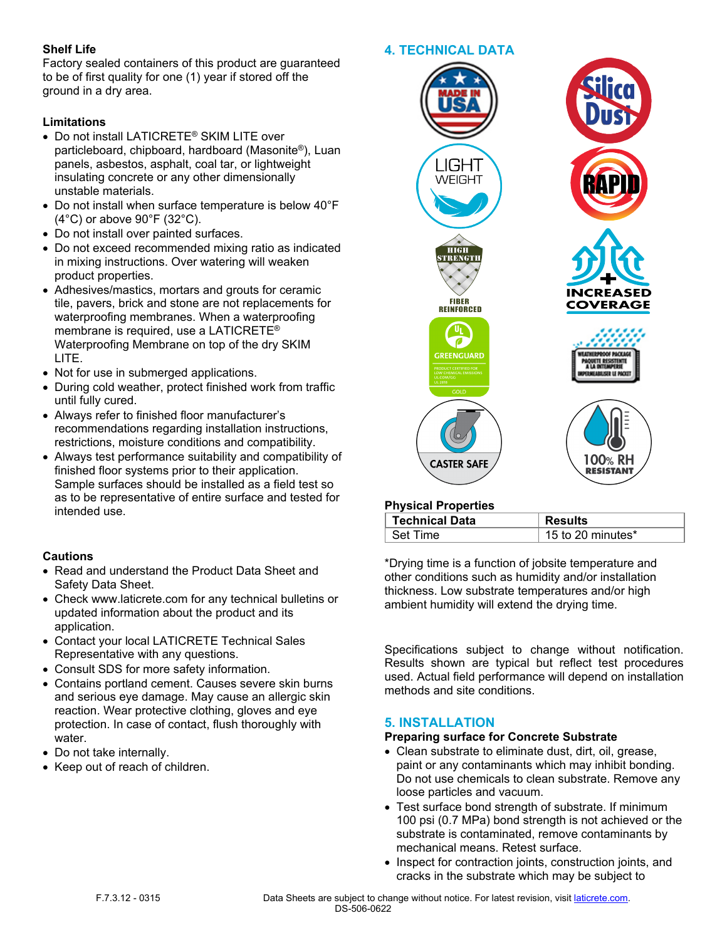## **Shelf Life**

Factory sealed containers of this product are guaranteed to be of first quality for one (1) year if stored off the ground in a dry area.

#### **Limitations**

- Do not install LATICRETE® SKIM LITE over particleboard, chipboard, hardboard (Masonite®), Luan panels, asbestos, asphalt, coal tar, or lightweight insulating concrete or any other dimensionally unstable materials.
- Do not install when surface temperature is below 40°F (4°C) or above 90°F (32°C).
- Do not install over painted surfaces.
- Do not exceed recommended mixing ratio as indicated in mixing instructions. Over watering will weaken product properties.
- Adhesives/mastics, mortars and grouts for ceramic tile, pavers, brick and stone are not replacements for waterproofing membranes. When a waterproofing membrane is required, use a LATICRETE® Waterproofing Membrane on top of the dry SKIM LITE.
- Not for use in submerged applications.
- During cold weather, protect finished work from traffic until fully cured.
- Always refer to finished floor manufacturer's recommendations regarding installation instructions, restrictions, moisture conditions and compatibility.
- Always test performance suitability and compatibility of finished floor systems prior to their application. Sample surfaces should be installed as a field test so as to be representative of entire surface and tested for intended use.

### **Cautions**

- Read and understand the Product Data Sheet and Safety Data Sheet.
- Check www.laticrete.com for any technical bulletins or updated information about the product and its application.
- Contact your local LATICRETE Technical Sales Representative with any questions.
- Consult SDS for more safety information.
- Contains portland cement. Causes severe skin burns and serious eye damage. May cause an allergic skin reaction. Wear protective clothing, gloves and eye protection. In case of contact, flush thoroughly with water.
- Do not take internally.
- Keep out of reach of children.



### **Physical Properties**

| Technical Data | <b>Results</b>    |
|----------------|-------------------|
| Set Time       | 15 to 20 minutes* |

\*Drying time is a function of jobsite temperature and other conditions such as humidity and/or installation thickness. Low substrate temperatures and/or high ambient humidity will extend the drying time.

Specifications subject to change without notification. Results shown are typical but reflect test procedures used. Actual field performance will depend on installation methods and site conditions.

# **5. INSTALLATION**

### **Preparing surface for Concrete Substrate**

- Clean substrate to eliminate dust, dirt, oil, grease, paint or any contaminants which may inhibit bonding. Do not use chemicals to clean substrate. Remove any loose particles and vacuum.
- Test surface bond strength of substrate. If minimum 100 psi (0.7 MPa) bond strength is not achieved or the substrate is contaminated, remove contaminants by mechanical means. Retest surface.
- Inspect for contraction joints, construction joints, and cracks in the substrate which may be subject to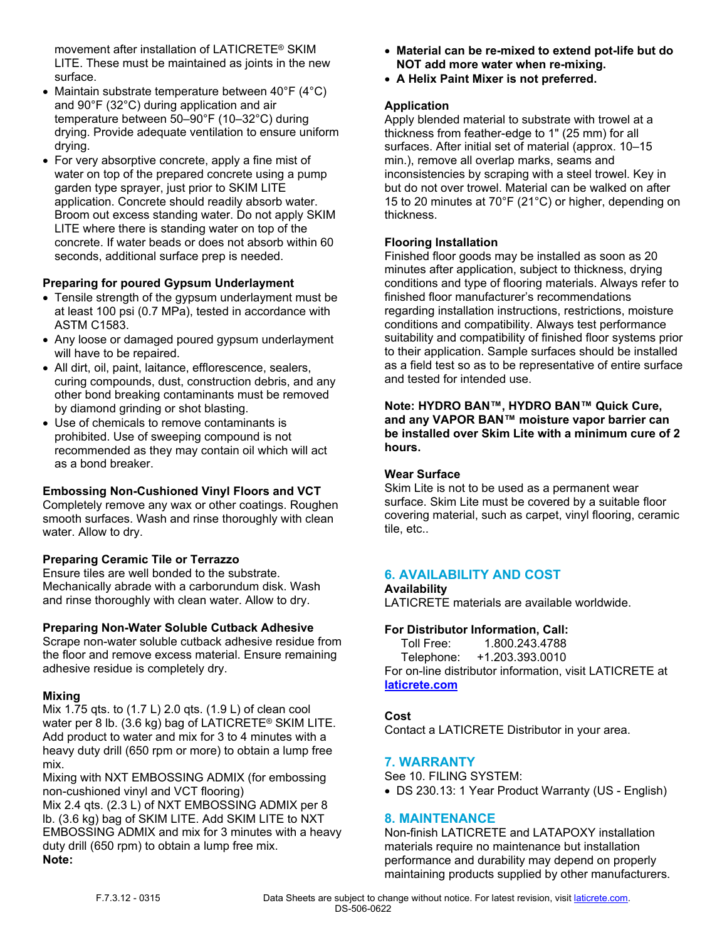movement after installation of LATICRETE® SKIM LITE. These must be maintained as joints in the new surface.

- Maintain substrate temperature between 40°F (4°C) and 90°F (32°C) during application and air temperature between 50–90°F (10–32°C) during drying. Provide adequate ventilation to ensure uniform drying.
- For very absorptive concrete, apply a fine mist of water on top of the prepared concrete using a pump garden type sprayer, just prior to SKIM LITE application. Concrete should readily absorb water. Broom out excess standing water. Do not apply SKIM LITE where there is standing water on top of the concrete. If water beads or does not absorb within 60 seconds, additional surface prep is needed.

## **Preparing for poured Gypsum Underlayment**

- Tensile strength of the gypsum underlayment must be at least 100 psi (0.7 MPa), tested in accordance with ASTM C1583.
- Any loose or damaged poured gypsum underlayment will have to be repaired.
- All dirt, oil, paint, laitance, efflorescence, sealers, curing compounds, dust, construction debris, and any other bond breaking contaminants must be removed by diamond grinding or shot blasting.
- Use of chemicals to remove contaminants is prohibited. Use of sweeping compound is not recommended as they may contain oil which will act as a bond breaker.

### **Embossing Non-Cushioned Vinyl Floors and VCT**

Completely remove any wax or other coatings. Roughen smooth surfaces. Wash and rinse thoroughly with clean water. Allow to dry.

### **Preparing Ceramic Tile or Terrazzo**

Ensure tiles are well bonded to the substrate. Mechanically abrade with a carborundum disk. Wash and rinse thoroughly with clean water. Allow to dry.

### **Preparing Non-Water Soluble Cutback Adhesive**

Scrape non-water soluble cutback adhesive residue from the floor and remove excess material. Ensure remaining adhesive residue is completely dry.

### **Mixing**

Mix 1.75 qts. to (1.7 L) 2.0 qts. (1.9 L) of clean cool water per 8 lb. (3.6 kg) bag of LATICRETE® SKIM LITE. Add product to water and mix for 3 to 4 minutes with a heavy duty drill (650 rpm or more) to obtain a lump free mix.

Mixing with NXT EMBOSSING ADMIX (for embossing non-cushioned vinyl and VCT flooring)

Mix 2.4 qts. (2.3 L) of NXT EMBOSSING ADMIX per 8 lb. (3.6 kg) bag of SKIM LITE. Add SKIM LITE to NXT EMBOSSING ADMIX and mix for 3 minutes with a heavy duty drill (650 rpm) to obtain a lump free mix. **Note:**

- **Material can be re-mixed to extend pot-life but do NOT add more water when re-mixing.**
- **A Helix Paint Mixer is not preferred.**

### **Application**

Apply blended material to substrate with trowel at a thickness from feather-edge to 1" (25 mm) for all surfaces. After initial set of material (approx. 10–15 min.), remove all overlap marks, seams and inconsistencies by scraping with a steel trowel. Key in but do not over trowel. Material can be walked on after 15 to 20 minutes at 70°F (21°C) or higher, depending on thickness.

### **Flooring Installation**

Finished floor goods may be installed as soon as 20 minutes after application, subject to thickness, drying conditions and type of flooring materials. Always refer to finished floor manufacturer's recommendations regarding installation instructions, restrictions, moisture conditions and compatibility. Always test performance suitability and compatibility of finished floor systems prior to their application. Sample surfaces should be installed as a field test so as to be representative of entire surface and tested for intended use.

**Note: HYDRO BAN™, HYDRO BAN™ Quick Cure, and any VAPOR BAN™ moisture vapor barrier can be installed over Skim Lite with a minimum cure of 2 hours.**

#### **Wear Surface**

Skim Lite is not to be used as a permanent wear surface. Skim Lite must be covered by a suitable floor covering material, such as carpet, vinyl flooring, ceramic tile, etc..

### **6. AVAILABILITY AND COST**

**Availability**

LATICRETE materials are available worldwide.

### **For Distributor Information, Call:**

 Toll Free: 1.800.243.4788 Telephone: +1.203.393.0010 For on-line distributor information, visit LATICRETE at **[laticrete.com](https://laticrete.com/)**

# **Cost**

Contact a LATICRETE Distributor in your area.

### **7. WARRANTY**

See 10. FILING SYSTEM:

• DS 230.13: 1 Year Product Warranty (US - English)

# **8. MAINTENANCE**

Non-finish LATICRETE and LATAPOXY installation materials require no maintenance but installation performance and durability may depend on properly maintaining products supplied by other manufacturers.